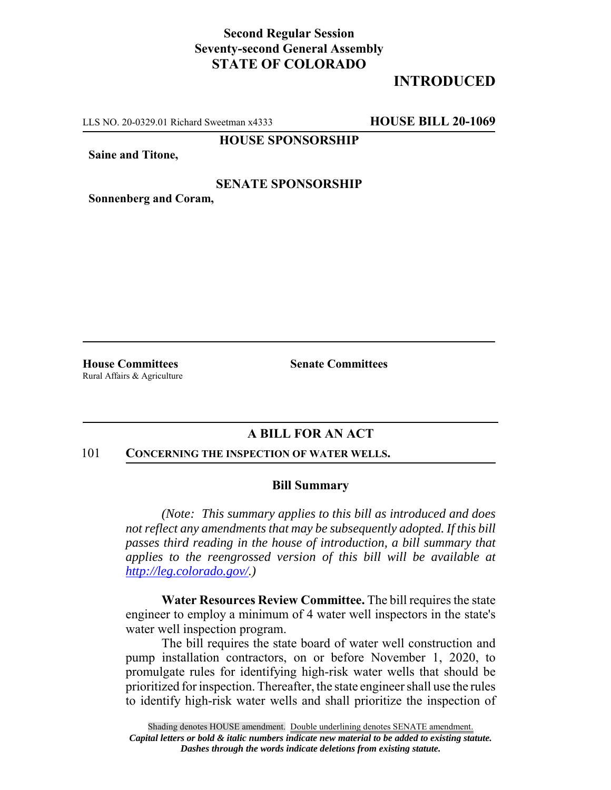# **Second Regular Session Seventy-second General Assembly STATE OF COLORADO**

# **INTRODUCED**

LLS NO. 20-0329.01 Richard Sweetman x4333 **HOUSE BILL 20-1069**

**HOUSE SPONSORSHIP**

**Saine and Titone,**

### **SENATE SPONSORSHIP**

**Sonnenberg and Coram,**

Rural Affairs & Agriculture

**House Committees Senate Committees** 

## **A BILL FOR AN ACT**

#### 101 **CONCERNING THE INSPECTION OF WATER WELLS.**

#### **Bill Summary**

*(Note: This summary applies to this bill as introduced and does not reflect any amendments that may be subsequently adopted. If this bill passes third reading in the house of introduction, a bill summary that applies to the reengrossed version of this bill will be available at http://leg.colorado.gov/.)*

**Water Resources Review Committee.** The bill requires the state engineer to employ a minimum of 4 water well inspectors in the state's water well inspection program.

The bill requires the state board of water well construction and pump installation contractors, on or before November 1, 2020, to promulgate rules for identifying high-risk water wells that should be prioritized for inspection. Thereafter, the state engineer shall use the rules to identify high-risk water wells and shall prioritize the inspection of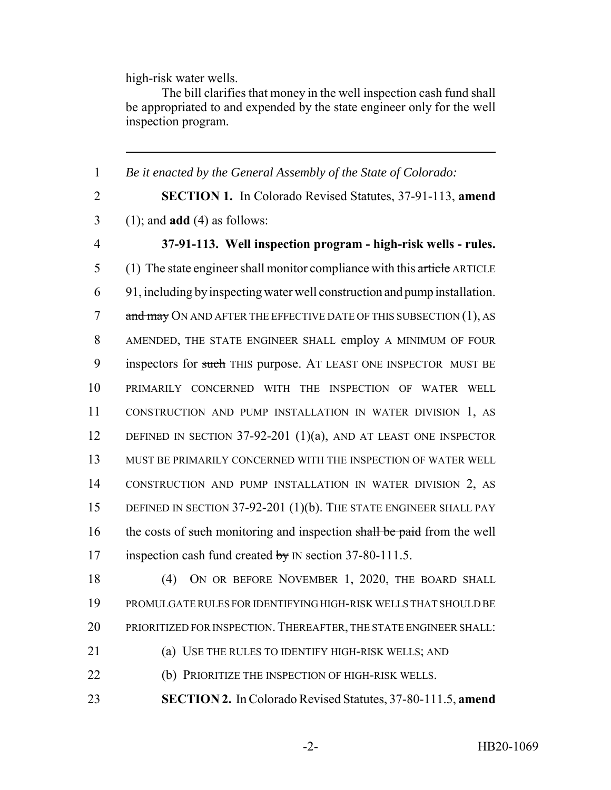high-risk water wells.

The bill clarifies that money in the well inspection cash fund shall be appropriated to and expended by the state engineer only for the well inspection program.

 *Be it enacted by the General Assembly of the State of Colorado:* **SECTION 1.** In Colorado Revised Statutes, 37-91-113, **amend** (1); and **add** (4) as follows: **37-91-113. Well inspection program - high-risk wells - rules.** 5 (1) The state engineer shall monitor compliance with this article ARTICLE 91, including by inspecting water well construction and pump installation. 7 and may ON AND AFTER THE EFFECTIVE DATE OF THIS SUBSECTION (1), AS AMENDED, THE STATE ENGINEER SHALL employ A MINIMUM OF FOUR 9 inspectors for such THIS purpose. AT LEAST ONE INSPECTOR MUST BE PRIMARILY CONCERNED WITH THE INSPECTION OF WATER WELL CONSTRUCTION AND PUMP INSTALLATION IN WATER DIVISION 1, AS 12 DEFINED IN SECTION 37-92-201 (1)(a), AND AT LEAST ONE INSPECTOR MUST BE PRIMARILY CONCERNED WITH THE INSPECTION OF WATER WELL CONSTRUCTION AND PUMP INSTALLATION IN WATER DIVISION 2, AS DEFINED IN SECTION 37-92-201 (1)(b). THE STATE ENGINEER SHALL PAY 16 the costs of such monitoring and inspection shall be paid from the well 17 inspection cash fund created by IN section 37-80-111.5. 18 (4) ON OR BEFORE NOVEMBER 1, 2020, THE BOARD SHALL

19 PROMULGATE RULES FOR IDENTIFYING HIGH-RISK WELLS THAT SHOULD BE 20 PRIORITIZED FOR INSPECTION. THEREAFTER, THE STATE ENGINEER SHALL:

21 (a) USE THE RULES TO IDENTIFY HIGH-RISK WELLS; AND

22 (b) PRIORITIZE THE INSPECTION OF HIGH-RISK WELLS.

23 **SECTION 2.** In Colorado Revised Statutes, 37-80-111.5, **amend**